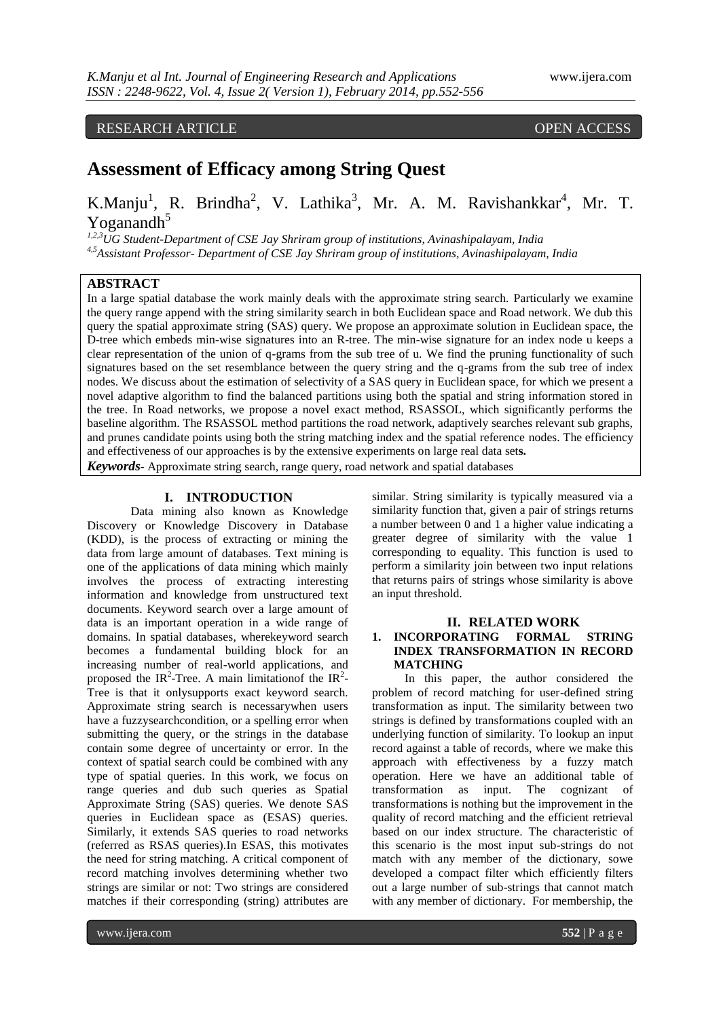# RESEARCH ARTICLE **CONTRACT ARTICLE** AND **CONTRACT OPEN ACCESS**

# **Assessment of Efficacy among String Quest**

# K.Manju<sup>1</sup>, R. Brindha<sup>2</sup>, V. Lathika<sup>3</sup>, Mr. A. M. Ravishankkar<sup>4</sup>, Mr. T. Yoganandh $5$

*1,2,3UG Student-Department of CSE Jay Shriram group of institutions, Avinashipalayam, India 4,5Assistant Professor- Department of CSE Jay Shriram group of institutions, Avinashipalayam, India*

# **ABSTRACT**

In a large spatial database the work mainly deals with the approximate string search. Particularly we examine the query range append with the string similarity search in both Euclidean space and Road network. We dub this query the spatial approximate string (SAS) query. We propose an approximate solution in Euclidean space, the D-tree which embeds min-wise signatures into an R-tree. The min-wise signature for an index node u keeps a clear representation of the union of q-grams from the sub tree of u. We find the pruning functionality of such signatures based on the set resemblance between the query string and the q-grams from the sub tree of index nodes. We discuss about the estimation of selectivity of a SAS query in Euclidean space, for which we present a novel adaptive algorithm to find the balanced partitions using both the spatial and string information stored in the tree. In Road networks, we propose a novel exact method, RSASSOL, which significantly performs the baseline algorithm. The RSASSOL method partitions the road network, adaptively searches relevant sub graphs, and prunes candidate points using both the string matching index and the spatial reference nodes. The efficiency and effectiveness of our approaches is by the extensive experiments on large real data set**s.** *Keywords-* Approximate string search, range query, road network and spatial databases

## **I. INTRODUCTION**

Data mining also known as Knowledge Discovery or Knowledge Discovery in Database (KDD), is the process of extracting or mining the data from large amount of databases. Text mining is one of the applications of data mining which mainly involves the process of extracting interesting information and knowledge from unstructured text documents. Keyword search over a large amount of data is an important operation in a wide range of domains. In spatial databases, wherekeyword search becomes a fundamental building block for an increasing number of real-world applications, and proposed the IR<sup>2</sup>-Tree. A main limitation f the IR<sup>2</sup>-Tree is that it onlysupports exact keyword search. Approximate string search is necessarywhen users have a fuzzysearchcondition, or a spelling error when submitting the query, or the strings in the database contain some degree of uncertainty or error. In the context of spatial search could be combined with any type of spatial queries. In this work, we focus on range queries and dub such queries as Spatial Approximate String (SAS) queries. We denote SAS queries in Euclidean space as (ESAS) queries. Similarly, it extends SAS queries to road networks (referred as RSAS queries).In ESAS, this motivates the need for string matching. A critical component of record matching involves determining whether two strings are similar or not: Two strings are considered matches if their corresponding (string) attributes are

similar. String similarity is typically measured via a similarity function that, given a pair of strings returns a number between 0 and 1 a higher value indicating a greater degree of similarity with the value 1 corresponding to equality. This function is used to perform a similarity join between two input relations that returns pairs of strings whose similarity is above an input threshold.

#### **II. RELATED WORK**

# **1. INCORPORATING FORMAL STRING INDEX TRANSFORMATION IN RECORD MATCHING**

In this paper, the author considered the problem of record matching for user-defined string transformation as input. The similarity between two strings is defined by transformations coupled with an underlying function of similarity. To lookup an input record against a table of records, where we make this approach with effectiveness by a fuzzy match operation. Here we have an additional table of transformation as input. The cognizant of transformations is nothing but the improvement in the quality of record matching and the efficient retrieval based on our index structure. The characteristic of this scenario is the most input sub-strings do not match with any member of the dictionary, sowe developed a compact filter which efficiently filters out a large number of sub-strings that cannot match with any member of dictionary. For membership, the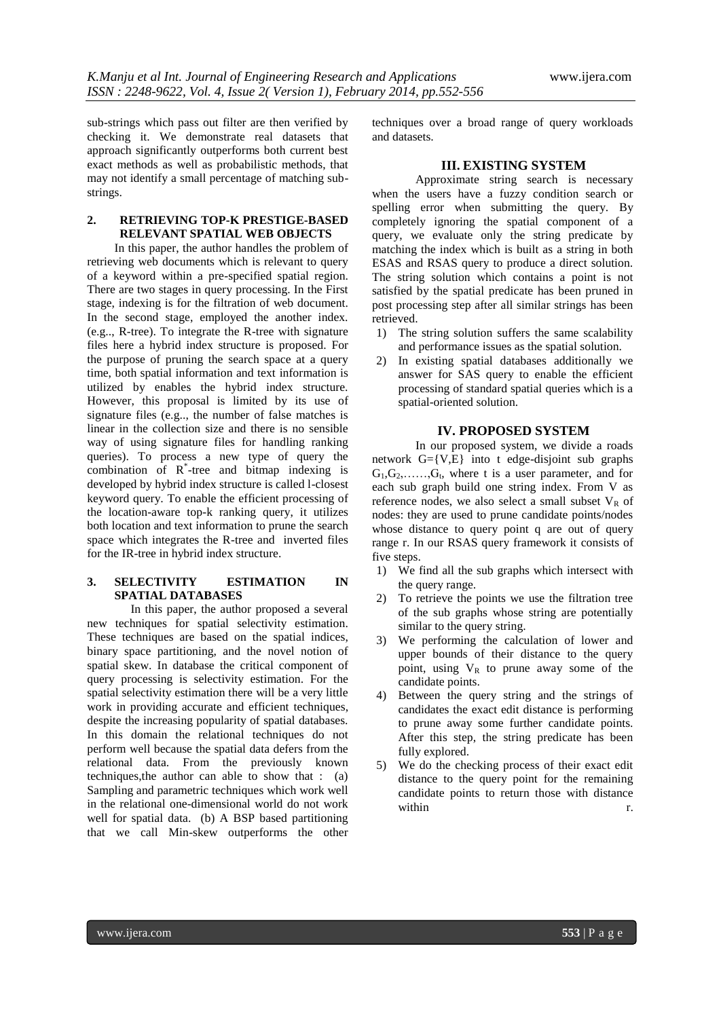sub-strings which pass out filter are then verified by checking it. We demonstrate real datasets that approach significantly outperforms both current best exact methods as well as probabilistic methods, that may not identify a small percentage of matching substrings.

# **2. RETRIEVING TOP-K PRESTIGE-BASED RELEVANT SPATIAL WEB OBJECTS**

In this paper, the author handles the problem of retrieving web documents which is relevant to query of a keyword within a pre-specified spatial region. There are two stages in query processing. In the First stage, indexing is for the filtration of web document. In the second stage, employed the another index. (e.g.., R-tree). To integrate the R-tree with signature files here a hybrid index structure is proposed. For the purpose of pruning the search space at a query time, both spatial information and text information is utilized by enables the hybrid index structure. However, this proposal is limited by its use of signature files (e.g.., the number of false matches is linear in the collection size and there is no sensible way of using signature files for handling ranking queries). To process a new type of query the combination of R\* -tree and bitmap indexing is developed by hybrid index structure is called l-closest keyword query. To enable the efficient processing of the location-aware top-k ranking query, it utilizes both location and text information to prune the search space which integrates the R-tree and inverted files for the IR-tree in hybrid index structure.

# **3. SELECTIVITY ESTIMATION IN SPATIAL DATABASES**

In this paper, the author proposed a several new techniques for spatial selectivity estimation. These techniques are based on the spatial indices, binary space partitioning, and the novel notion of spatial skew. In database the critical component of query processing is selectivity estimation. For the spatial selectivity estimation there will be a very little work in providing accurate and efficient techniques, despite the increasing popularity of spatial databases. In this domain the relational techniques do not perform well because the spatial data defers from the relational data. From the previously known techniques,the author can able to show that : (a) Sampling and parametric techniques which work well in the relational one-dimensional world do not work well for spatial data. (b) A BSP based partitioning that we call Min-skew outperforms the other

techniques over a broad range of query workloads and datasets.

# **III. EXISTING SYSTEM**

Approximate string search is necessary when the users have a fuzzy condition search or spelling error when submitting the query. By completely ignoring the spatial component of a query, we evaluate only the string predicate by matching the index which is built as a string in both ESAS and RSAS query to produce a direct solution. The string solution which contains a point is not satisfied by the spatial predicate has been pruned in post processing step after all similar strings has been retrieved.

- 1) The string solution suffers the same scalability and performance issues as the spatial solution.
- 2) In existing spatial databases additionally we answer for SAS query to enable the efficient processing of standard spatial queries which is a spatial-oriented solution.

### **IV. PROPOSED SYSTEM**

In our proposed system, we divide a roads network G={V,E} into t edge-disjoint sub graphs  $G_1, G_2, \ldots, G_t$ , where t is a user parameter, and for each sub graph build one string index. From V as reference nodes, we also select a small subset  $V_R$  of nodes: they are used to prune candidate points/nodes whose distance to query point q are out of query range r. In our RSAS query framework it consists of five steps.

- 1) We find all the sub graphs which intersect with the query range.
- 2) To retrieve the points we use the filtration tree of the sub graphs whose string are potentially similar to the query string.
- 3) We performing the calculation of lower and upper bounds of their distance to the query point, using  $V_R$  to prune away some of the candidate points.
- 4) Between the query string and the strings of candidates the exact edit distance is performing to prune away some further candidate points. After this step, the string predicate has been fully explored.
- 5) We do the checking process of their exact edit distance to the query point for the remaining candidate points to return those with distance within r.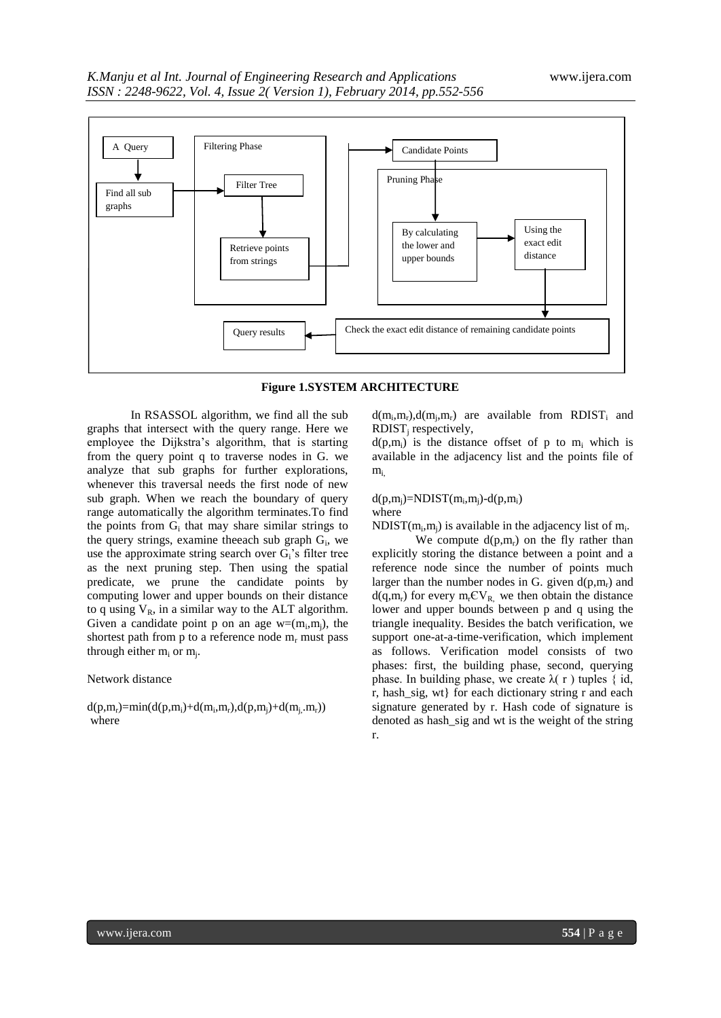



In RSASSOL algorithm, we find all the sub graphs that intersect with the query range. Here we employee the Dijkstra's algorithm, that is starting from the query point q to traverse nodes in G. we analyze that sub graphs for further explorations, whenever this traversal needs the first node of new sub graph. When we reach the boundary of query range automatically the algorithm terminates.To find the points from  $G_i$  that may share similar strings to the query strings, examine the each sub graph  $G_i$ , we use the approximate string search over  $G_i$ 's filter tree as the next pruning step. Then using the spatial predicate, we prune the candidate points by computing lower and upper bounds on their distance to q using  $V_R$ , in a similar way to the ALT algorithm. Given a candidate point p on an age  $w=(m_i,m_j)$ , the shortest path from p to a reference node  $m_r$  must pass through either  $m_i$  or  $m_j$ .

## Network distance

 $d(p,m_r) = min(d(p,m_i)+d(m_i,m_r),d(p,m_j)+d(m_j,m_r))$ where

 $d(m_i, m_r)$ ,  $d(m_j, m_r)$  are available from RDIST<sub>i</sub> and  $RDIST_i$  respectively,

 $d(p,m_i)$  is the distance offset of p to  $m_i$  which is available in the adjacency list and the points file of  $m_i$ 

#### $d(p,m_j)$ =NDIST $(m_i, m_j)$ - $d(p,m_i)$ where

NDIST( $m_i, m_j$ ) is available in the adjacency list of  $m_i$ .

We compute  $d(p,m_r)$  on the fly rather than explicitly storing the distance between a point and a reference node since the number of points much larger than the number nodes in G. given  $d(p,m_r)$  and  $d(q,m_r)$  for every  $m_rCV_R$ , we then obtain the distance lower and upper bounds between p and q using the triangle inequality. Besides the batch verification, we support one-at-a-time-verification, which implement as follows. Verification model consists of two phases: first, the building phase, second, querying phase. In building phase, we create  $\lambda(r)$  tuples { id, r, hash\_sig, wt} for each dictionary string r and each signature generated by r. Hash code of signature is denoted as hash\_sig and wt is the weight of the string r.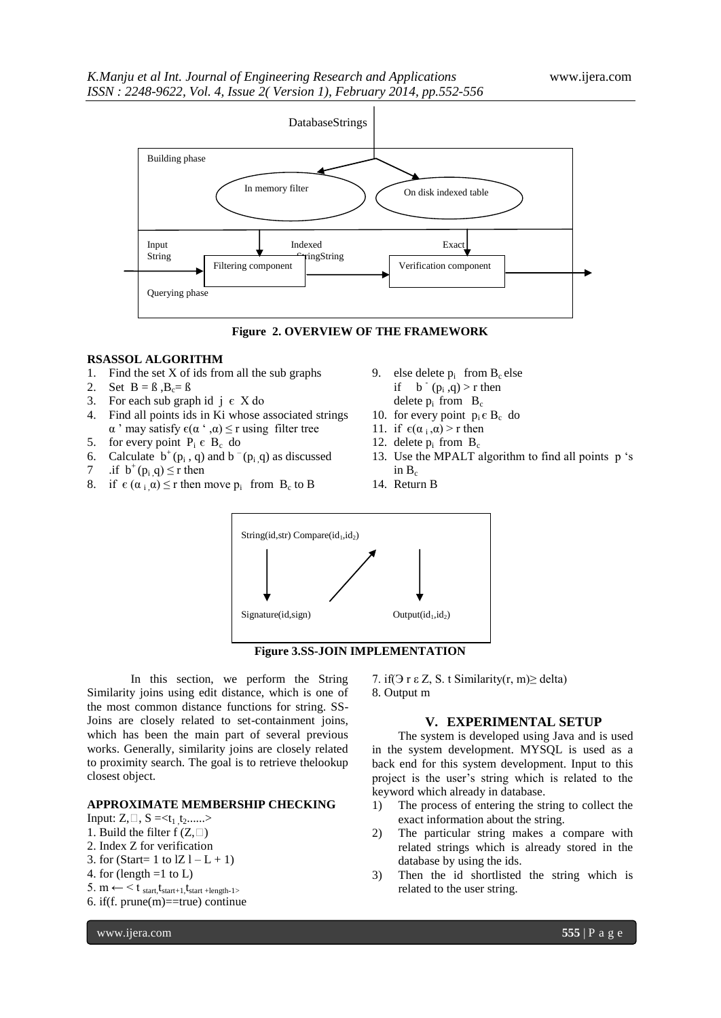



#### **RSASSOL ALGORITHM**

- 1. Find the set X of ids from all the sub graphs
- 2. Set  $B = \beta$ ,  $B_c = \beta$
- 3. For each sub graph id  $j \in X$  do
- 4. Find all points ids in Ki whose associated strings  $α'$  may satisfy  $ε(α' , α) ≤ r$  using filter tree
- 5. for every point  $P_i \in B_c$  do
- 6. Calculate  $b^+(p_i, q)$  and  $b^-(p_i, q)$  as discussed
- 7 .if  $b^+(p_i, q) \le r$  then
- 8. if  $\epsilon(\alpha_i, \alpha) \le r$  then move  $p_i$  from  $B_c$  to B
- 9. else delete  $p_i$  from  $B_c$  else if  $b^-(p_i, q) > r$  then delete  $p_i$  from  $B_c$
- 10. for every point  $p_i \in B_c$  do
- 11. if  $\epsilon(\alpha_i, \alpha) > r$  then
- 12. delete  $p_i$  from  $B_c$
- 13. Use the MPALT algorithm to find all points p "s in  $B_c$
- 14. Return B

8. Output m





In this section, we perform the String Similarity joins using edit distance, which is one of the most common distance functions for string. SS-Joins are closely related to set-containment joins, which has been the main part of several previous works. Generally, similarity joins are closely related to proximity search. The goal is to retrieve thelookup closest object.

### **APPROXIMATE MEMBERSHIP CHECKING**

Input:  $Z, \Box, S = \langle t_1, t_2, \ldots \rangle$ 

- 1. Build the filter  $f(Z,\Box)$
- 2. Index Z for verification
- 3. for (Start= 1 to  $|Z| L + 1$ )
- 4. for (length  $=1$  to L)
- 5.  $m \leftarrow$  < t  $_{start, t_{start+1}, t_{start + length-1}}$
- 6. if  $(f.$  prune $(m) =$ true $)$  continue

**V. EXPERIMENTAL SETUP**

7. if( $\exists$  r  $\epsilon$  Z, S. t Similarity(r, m) $\ge$  delta)

The system is developed using Java and is used in the system development. MYSQL is used as a back end for this system development. Input to this project is the user"s string which is related to the keyword which already in database.

- 1) The process of entering the string to collect the exact information about the string.
- 2) The particular string makes a compare with related strings which is already stored in the database by using the ids.
- 3) Then the id shortlisted the string which is related to the user string.